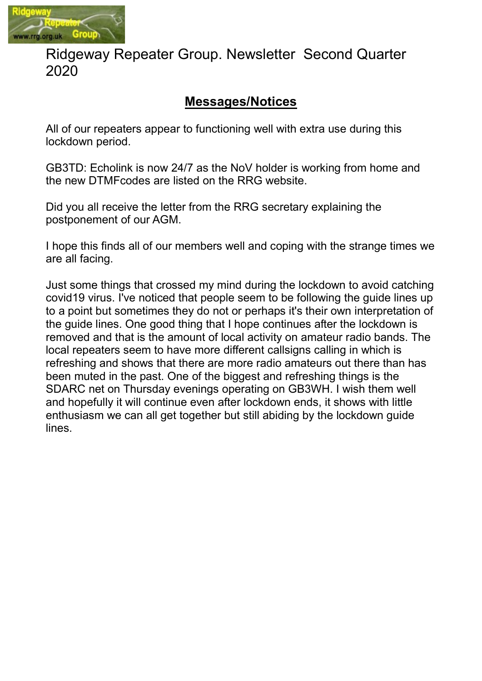

# Ridgeway Repeater Group. Newsletter Second Quarter 2020

# Messages/Notices

All of our repeaters appear to functioning well with extra use during this lockdown period.

GB3TD: Echolink is now 24/7 as the NoV holder is working from home and the new DTMFcodes are listed on the RRG website.

Did you all receive the letter from the RRG secretary explaining the postponement of our AGM.

I hope this finds all of our members well and coping with the strange times we are all facing.

Just some things that crossed my mind during the lockdown to avoid catching covid19 virus. I've noticed that people seem to be following the guide lines up to a point but sometimes they do not or perhaps it's their own interpretation of the guide lines. One good thing that I hope continues after the lockdown is removed and that is the amount of local activity on amateur radio bands. The local repeaters seem to have more different callsigns calling in which is refreshing and shows that there are more radio amateurs out there than has been muted in the past. One of the biggest and refreshing things is the SDARC net on Thursday evenings operating on GB3WH. I wish them well and hopefully it will continue even after lockdown ends, it shows with little enthusiasm we can all get together but still abiding by the lockdown guide lines.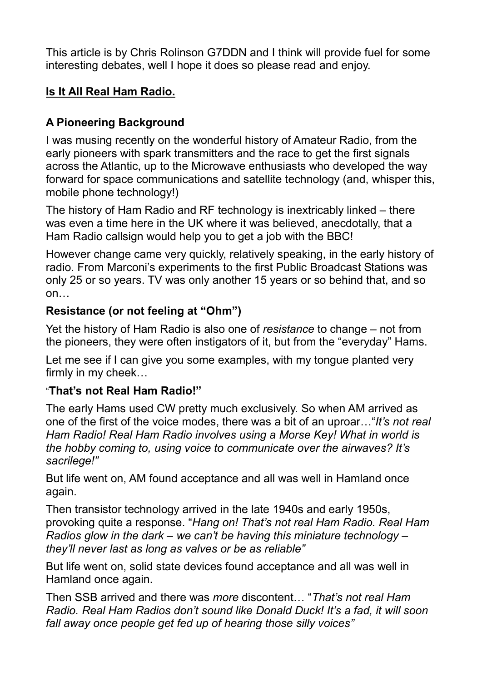This article is by Chris Rolinson G7DDN and I think will provide fuel for some interesting debates, well I hope it does so please read and enjoy.

### Is It All Real Ham Radio.

# A Pioneering Background

I was musing recently on the wonderful history of Amateur Radio, from the early pioneers with spark transmitters and the race to get the first signals across the Atlantic, up to the Microwave enthusiasts who developed the way forward for space communications and satellite technology (and, whisper this, mobile phone technology!)

The history of Ham Radio and RF technology is inextricably linked – there was even a time here in the UK where it was believed, anecdotally, that a Ham Radio callsign would help you to get a job with the BBC!

However change came very quickly, relatively speaking, in the early history of radio. From Marconi's experiments to the first Public Broadcast Stations was only 25 or so years. TV was only another 15 years or so behind that, and so on…

#### Resistance (or not feeling at "Ohm")

Yet the history of Ham Radio is also one of resistance to change – not from the pioneers, they were often instigators of it, but from the "everyday" Hams.

Let me see if I can give you some examples, with my tongue planted very firmly in my cheek…

#### "That's not Real Ham Radio!"

The early Hams used CW pretty much exclusively. So when AM arrived as one of the first of the voice modes, there was a bit of an uproar…"It's not real Ham Radio! Real Ham Radio involves using a Morse Key! What in world is the hobby coming to, using voice to communicate over the airwaves? It's sacrilege!"

But life went on, AM found acceptance and all was well in Hamland once again.

Then transistor technology arrived in the late 1940s and early 1950s, provoking quite a response. "Hang on! That's not real Ham Radio. Real Ham Radios glow in the dark – we can't be having this miniature technology – they'll never last as long as valves or be as reliable"

But life went on, solid state devices found acceptance and all was well in Hamland once again.

Then SSB arrived and there was more discontent… "That's not real Ham Radio. Real Ham Radios don't sound like Donald Duck! It's a fad, it will soon fall away once people get fed up of hearing those silly voices"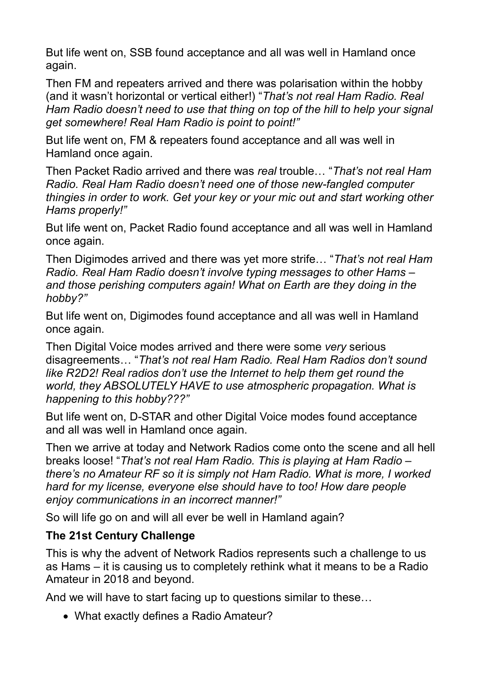But life went on, SSB found acceptance and all was well in Hamland once again.

Then FM and repeaters arrived and there was polarisation within the hobby (and it wasn't horizontal or vertical either!) "That's not real Ham Radio. Real Ham Radio doesn't need to use that thing on top of the hill to help your signal get somewhere! Real Ham Radio is point to point!"

But life went on, FM & repeaters found acceptance and all was well in Hamland once again.

Then Packet Radio arrived and there was real trouble… "That's not real Ham Radio. Real Ham Radio doesn't need one of those new-fangled computer thingies in order to work. Get your key or your mic out and start working other Hams properly!"

But life went on, Packet Radio found acceptance and all was well in Hamland once again.

Then Digimodes arrived and there was yet more strife... "That's not real Ham Radio. Real Ham Radio doesn't involve typing messages to other Hams – and those perishing computers again! What on Earth are they doing in the hobby?"

But life went on, Digimodes found acceptance and all was well in Hamland once again.

Then Digital Voice modes arrived and there were some very serious disagreements… "That's not real Ham Radio. Real Ham Radios don't sound like R2D2! Real radios don't use the Internet to help them get round the world, they ABSOLUTELY HAVE to use atmospheric propagation. What is happening to this hobby???"

But life went on, D-STAR and other Digital Voice modes found acceptance and all was well in Hamland once again.

Then we arrive at today and Network Radios come onto the scene and all hell breaks loose! "That's not real Ham Radio. This is playing at Ham Radio – there's no Amateur RF so it is simply not Ham Radio. What is more, I worked hard for my license, everyone else should have to too! How dare people enjoy communications in an incorrect manner!"

So will life go on and will all ever be well in Hamland again?

### The 21st Century Challenge

This is why the advent of Network Radios represents such a challenge to us as Hams – it is causing us to completely rethink what it means to be a Radio Amateur in 2018 and beyond.

And we will have to start facing up to questions similar to these…

• What exactly defines a Radio Amateur?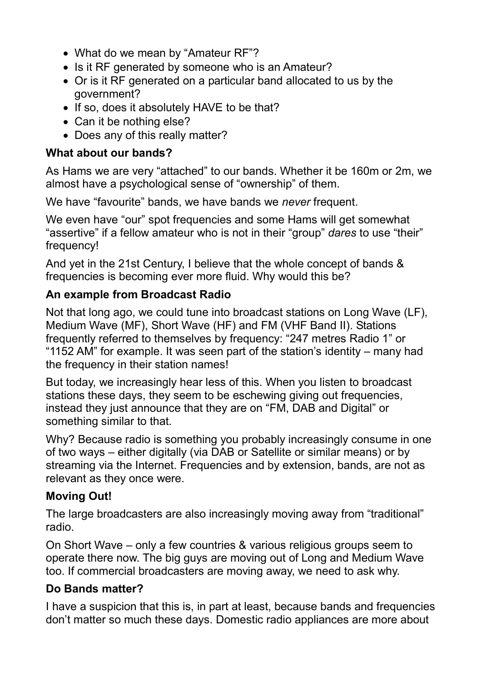- What do we mean by "Amateur RF"?
- Is it RF generated by someone who is an Amateur?
- Or is it RF generated on a particular band allocated to us by the government?
- If so, does it absolutely HAVE to be that?
- Can it be nothing else?
- Does any of this really matter?

#### What about our bands?

As Hams we are very "attached" to our bands. Whether it be 160m or 2m, we almost have a psychological sense of "ownership" of them.

We have "favourite" bands, we have bands we never frequent.

We even have "our" spot frequencies and some Hams will get somewhat "assertive" if a fellow amateur who is not in their "group" dares to use "their" frequency!

And yet in the 21st Century, I believe that the whole concept of bands & frequencies is becoming ever more fluid. Why would this be?

### An example from Broadcast Radio

Not that long ago, we could tune into broadcast stations on Long Wave (LF), Medium Wave (MF), Short Wave (HF) and FM (VHF Band II). Stations frequently referred to themselves by frequency: "247 metres Radio 1" or "1152 AM" for example. It was seen part of the station's identity – many had the frequency in their station names!

But today, we increasingly hear less of this. When you listen to broadcast stations these days, they seem to be eschewing giving out frequencies, instead they just announce that they are on "FM, DAB and Digital" or something similar to that.

Why? Because radio is something you probably increasingly consume in one of two ways – either digitally (via DAB or Satellite or similar means) or by streaming via the Internet. Frequencies and by extension, bands, are not as relevant as they once were.

### Moving Out!

The large broadcasters are also increasingly moving away from "traditional" radio.

On Short Wave – only a few countries & various religious groups seem to operate there now. The big guys are moving out of Long and Medium Wave too. If commercial broadcasters are moving away, we need to ask why.

### Do Bands matter?

I have a suspicion that this is, in part at least, because bands and frequencies don't matter so much these days. Domestic radio appliances are more about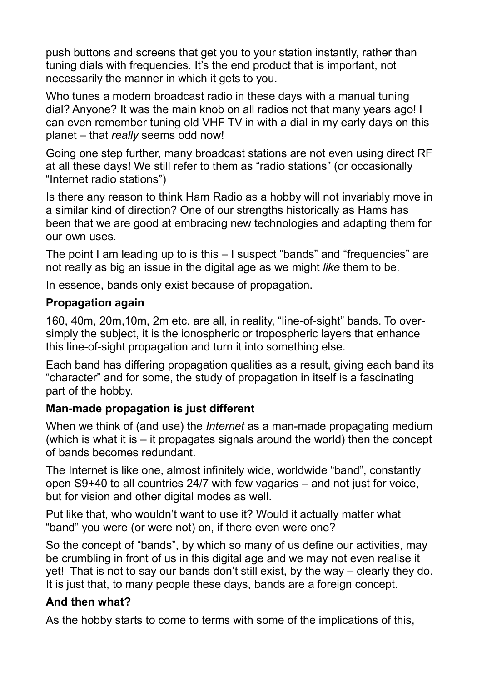push buttons and screens that get you to your station instantly, rather than tuning dials with frequencies. It's the end product that is important, not necessarily the manner in which it gets to you.

Who tunes a modern broadcast radio in these days with a manual tuning dial? Anyone? It was the main knob on all radios not that many years ago! I can even remember tuning old VHF TV in with a dial in my early days on this planet – that really seems odd now!

Going one step further, many broadcast stations are not even using direct RF at all these days! We still refer to them as "radio stations" (or occasionally "Internet radio stations")

Is there any reason to think Ham Radio as a hobby will not invariably move in a similar kind of direction? One of our strengths historically as Hams has been that we are good at embracing new technologies and adapting them for our own uses.

The point I am leading up to is this – I suspect "bands" and "frequencies" are not really as big an issue in the digital age as we might like them to be.

In essence, bands only exist because of propagation.

#### Propagation again

160, 40m, 20m,10m, 2m etc. are all, in reality, "line-of-sight" bands. To oversimply the subject, it is the ionospheric or tropospheric layers that enhance this line-of-sight propagation and turn it into something else.

Each band has differing propagation qualities as a result, giving each band its "character" and for some, the study of propagation in itself is a fascinating part of the hobby.

### Man-made propagation is just different

When we think of (and use) the *Internet* as a man-made propagating medium (which is what it is – it propagates signals around the world) then the concept of bands becomes redundant.

The Internet is like one, almost infinitely wide, worldwide "band", constantly open S9+40 to all countries 24/7 with few vagaries – and not just for voice, but for vision and other digital modes as well.

Put like that, who wouldn't want to use it? Would it actually matter what "band" you were (or were not) on, if there even were one?

So the concept of "bands", by which so many of us define our activities, may be crumbling in front of us in this digital age and we may not even realise it yet! That is not to say our bands don't still exist, by the way – clearly they do. It is just that, to many people these days, bands are a foreign concept.

### And then what?

As the hobby starts to come to terms with some of the implications of this,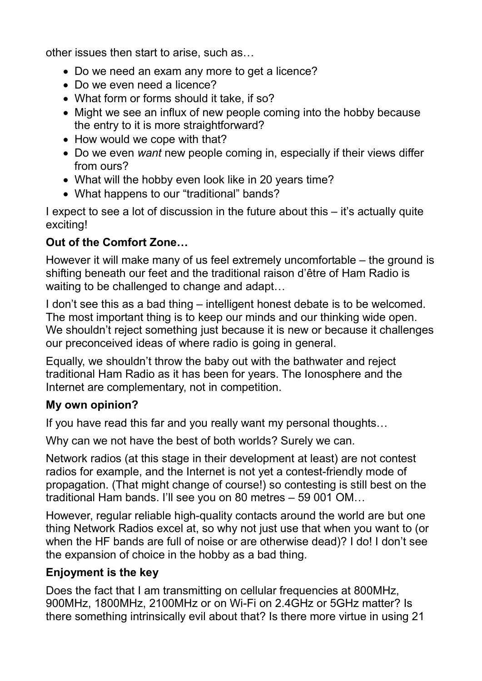other issues then start to arise, such as…

- Do we need an exam any more to get a licence?
- Do we even need a licence?
- What form or forms should it take, if so?
- Might we see an influx of new people coming into the hobby because the entry to it is more straightforward?
- How would we cope with that?
- Do we even want new people coming in, especially if their views differ from ours?
- What will the hobby even look like in 20 years time?
- What happens to our "traditional" bands?

I expect to see a lot of discussion in the future about this – it's actually quite exciting!

# Out of the Comfort Zone…

However it will make many of us feel extremely uncomfortable – the ground is shifting beneath our feet and the traditional raison d'être of Ham Radio is waiting to be challenged to change and adapt…

I don't see this as a bad thing – intelligent honest debate is to be welcomed. The most important thing is to keep our minds and our thinking wide open. We shouldn't reject something just because it is new or because it challenges our preconceived ideas of where radio is going in general.

Equally, we shouldn't throw the baby out with the bathwater and reject traditional Ham Radio as it has been for years. The Ionosphere and the Internet are complementary, not in competition.

### My own opinion?

If you have read this far and you really want my personal thoughts…

Why can we not have the best of both worlds? Surely we can.

Network radios (at this stage in their development at least) are not contest radios for example, and the Internet is not yet a contest-friendly mode of propagation. (That might change of course!) so contesting is still best on the traditional Ham bands. I'll see you on 80 metres – 59 001 OM…

However, regular reliable high-quality contacts around the world are but one thing Network Radios excel at, so why not just use that when you want to (or when the HF bands are full of noise or are otherwise dead)? I do! I don't see the expansion of choice in the hobby as a bad thing.

### Enjoyment is the key

Does the fact that I am transmitting on cellular frequencies at 800MHz, 900MHz, 1800MHz, 2100MHz or on Wi-Fi on 2.4GHz or 5GHz matter? Is there something intrinsically evil about that? Is there more virtue in using 21